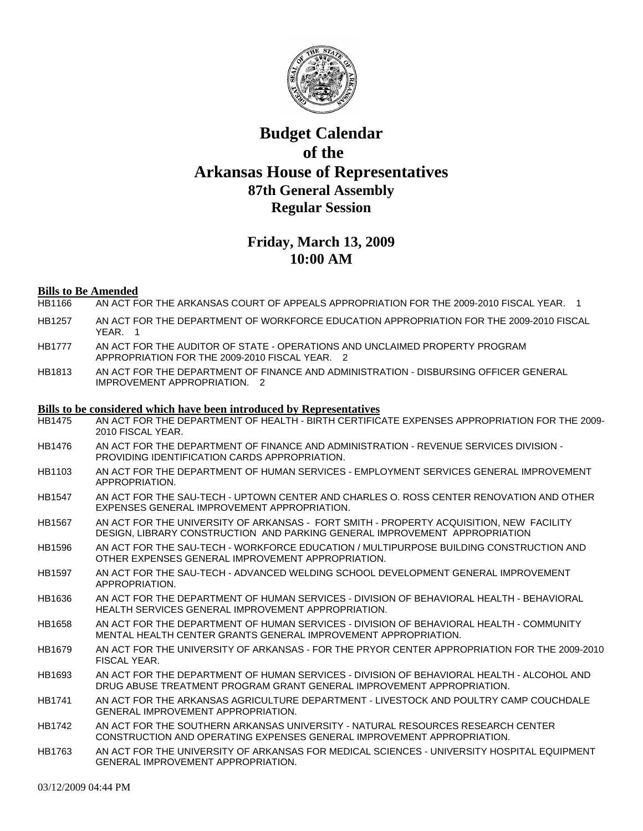

## **Budget Calendar of the Arkansas House of Representatives 87th General Assembly Regular Session**

## **Friday, March 13, 2009 10:00 AM**

## **Bills to Be Amended**

- HB1166 AN ACT FOR THE ARKANSAS COURT OF APPEALS APPROPRIATION FOR THE 2009-2010 FISCAL YEAR. 1
- HB1257 AN ACT FOR THE DEPARTMENT OF WORKFORCE EDUCATION APPROPRIATION FOR THE 2009-2010 FISCAL YEAR. 1
- HB1777 AN ACT FOR THE AUDITOR OF STATE OPERATIONS AND UNCLAIMED PROPERTY PROGRAM APPROPRIATION FOR THE 2009-2010 FISCAL YEAR. 2
- HB1813 AN ACT FOR THE DEPARTMENT OF FINANCE AND ADMINISTRATION DISBURSING OFFICER GENERAL IMPROVEMENT APPROPRIATION. 2

## **Bills to be considered which have been introduced by Representatives**

- HB1475 AN ACT FOR THE DEPARTMENT OF HEALTH BIRTH CERTIFICATE EXPENSES APPROPRIATION FOR THE 2009- 2010 FISCAL YEAR.
- HB1476 AN ACT FOR THE DEPARTMENT OF FINANCE AND ADMINISTRATION REVENUE SERVICES DIVISION PROVIDING IDENTIFICATION CARDS APPROPRIATION.
- HB1103 AN ACT FOR THE DEPARTMENT OF HUMAN SERVICES EMPLOYMENT SERVICES GENERAL IMPROVEMENT APPROPRIATION.
- HB1547 AN ACT FOR THE SAU-TECH UPTOWN CENTER AND CHARLES O. ROSS CENTER RENOVATION AND OTHER EXPENSES GENERAL IMPROVEMENT APPROPRIATION.
- HB1567 AN ACT FOR THE UNIVERSITY OF ARKANSAS FORT SMITH PROPERTY ACQUISITION, NEW FACILITY DESIGN, LIBRARY CONSTRUCTION AND PARKING GENERAL IMPROVEMENT APPROPRIATION
- HB1596 AN ACT FOR THE SAU-TECH WORKFORCE EDUCATION / MULTIPURPOSE BUILDING CONSTRUCTION AND OTHER EXPENSES GENERAL IMPROVEMENT APPROPRIATION.
- HB1597 AN ACT FOR THE SAU-TECH ADVANCED WELDING SCHOOL DEVELOPMENT GENERAL IMPROVEMENT APPROPRIATION.
- HB1636 AN ACT FOR THE DEPARTMENT OF HUMAN SERVICES DIVISION OF BEHAVIORAL HEALTH BEHAVIORAL HEALTH SERVICES GENERAL IMPROVEMENT APPROPRIATION.
- HB1658 AN ACT FOR THE DEPARTMENT OF HUMAN SERVICES DIVISION OF BEHAVIORAL HEALTH COMMUNITY MENTAL HEALTH CENTER GRANTS GENERAL IMPROVEMENT APPROPRIATION.
- HB1679 AN ACT FOR THE UNIVERSITY OF ARKANSAS FOR THE PRYOR CENTER APPROPRIATION FOR THE 2009-2010 FISCAL YEAR.
- HB1693 AN ACT FOR THE DEPARTMENT OF HUMAN SERVICES DIVISION OF BEHAVIORAL HEALTH ALCOHOL AND DRUG ABUSE TREATMENT PROGRAM GRANT GENERAL IMPROVEMENT APPROPRIATION.
- HB1741 AN ACT FOR THE ARKANSAS AGRICULTURE DEPARTMENT LIVESTOCK AND POULTRY CAMP COUCHDALE GENERAL IMPROVEMENT APPROPRIATION.
- HB1742 AN ACT FOR THE SOUTHERN ARKANSAS UNIVERSITY NATURAL RESOURCES RESEARCH CENTER CONSTRUCTION AND OPERATING EXPENSES GENERAL IMPROVEMENT APPROPRIATION.
- HB1763 AN ACT FOR THE UNIVERSITY OF ARKANSAS FOR MEDICAL SCIENCES UNIVERSITY HOSPITAL EQUIPMENT GENERAL IMPROVEMENT APPROPRIATION.